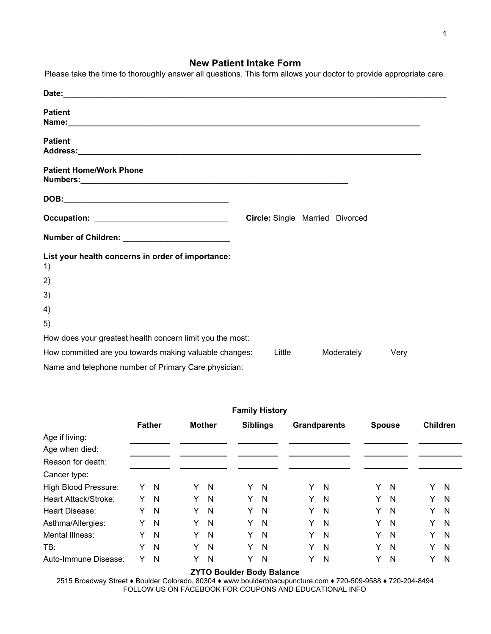# **New Patient Intake Form**

| Please take the time to thoroughly answer all questions. This form allows your doctor to provide appropriate care. |        |                                        |      |
|--------------------------------------------------------------------------------------------------------------------|--------|----------------------------------------|------|
|                                                                                                                    |        |                                        |      |
| <b>Patient</b>                                                                                                     |        |                                        |      |
| <b>Patient</b>                                                                                                     |        |                                        |      |
| <b>Patient Home/Work Phone</b>                                                                                     |        |                                        |      |
|                                                                                                                    |        |                                        |      |
| Occupation: _________________________________                                                                      |        | <b>Circle:</b> Single Married Divorced |      |
| Number of Children: ___________________________                                                                    |        |                                        |      |
| List your health concerns in order of importance:<br>1)                                                            |        |                                        |      |
| 2)                                                                                                                 |        |                                        |      |
| 3)                                                                                                                 |        |                                        |      |
| 4)                                                                                                                 |        |                                        |      |
| 5)                                                                                                                 |        |                                        |      |
| How does your greatest health concern limit you the most:                                                          |        |                                        |      |
| How committed are you towards making valuable changes:                                                             | Little | Moderately                             | Very |
| Name and telephone number of Primary Care physician:                                                               |        |                                        |      |

| <b>Family History</b> |   |               |   |               |   |                 |   |                     |   |               |   |                 |
|-----------------------|---|---------------|---|---------------|---|-----------------|---|---------------------|---|---------------|---|-----------------|
|                       |   | <b>Father</b> |   | <b>Mother</b> |   | <b>Siblings</b> |   | <b>Grandparents</b> |   | <b>Spouse</b> |   | <b>Children</b> |
| Age if living:        |   |               |   |               |   |                 |   |                     |   |               |   |                 |
| Age when died:        |   |               |   |               |   |                 |   |                     |   |               |   |                 |
| Reason for death:     |   |               |   |               |   |                 |   |                     |   |               |   |                 |
| Cancer type:          |   |               |   |               |   |                 |   |                     |   |               |   |                 |
| High Blood Pressure:  | Y | $\mathsf{N}$  | Y | $\mathsf{N}$  | Y | N               | Y | N                   | Y | N             | Y | N               |
| Heart Attack/Stroke:  | Υ | N             | Y | N             | Y | N               | Y | N                   | Y | N             | Y | N               |
| Heart Disease:        | Y | N             | Y | N             | Y | N               | Y | N                   | Y | N             | Y | N               |
| Asthma/Allergies:     | Y | N             | Y | N             | Y | N               | Y | N                   | Y | N             | Y | N               |
| Mental Illness:       | Υ | N             | Y | N             | Y | N               | Y | N                   | Y | N             | Y | N               |
| TB:                   | Y | N             | Y | N             | Y | N               | Y | N                   | Y | N             | Y | N               |
| Auto-Immune Disease:  | Y | N             | Y | N             | Y | N               | Y | N                   | Y | N             | Y | N               |

### **ZYTO Boulder Body Balance**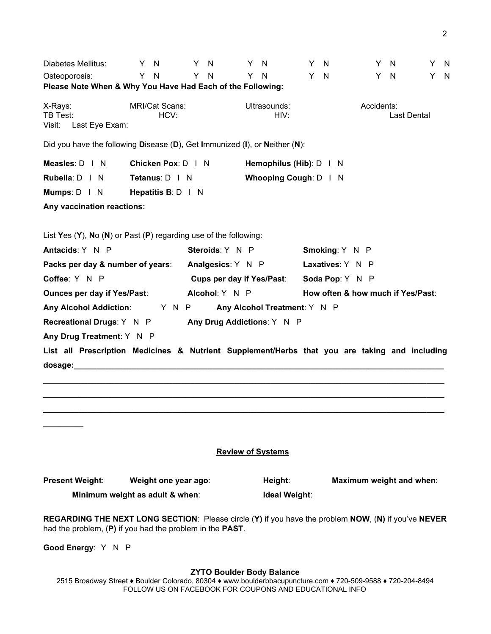| Diabetes Mellitus:<br>Osteoporosis:<br>Please Note When & Why You Have Had Each of the Following:                                                                                                                              | - N<br>Y.<br>Y<br>N           | Y.<br>Y. | N<br><b>N</b>                    | Y N<br>Y. | N                            | Y<br>Y | N<br>N | Y.                                | - N<br>Y N  | Y<br>Y | - N<br>- N |
|--------------------------------------------------------------------------------------------------------------------------------------------------------------------------------------------------------------------------------|-------------------------------|----------|----------------------------------|-----------|------------------------------|--------|--------|-----------------------------------|-------------|--------|------------|
| X-Rays:<br>TB Test:<br>Visit:<br>Last Eye Exam:                                                                                                                                                                                | <b>MRI/Cat Scans:</b><br>HCV: |          |                                  |           | Ultrasounds:<br>HIV:         |        |        | Accidents:                        | Last Dental |        |            |
| Did you have the following Disease $(D)$ , Get Immunized $(I)$ , or Neither $(N)$ :                                                                                                                                            |                               |          |                                  |           |                              |        |        |                                   |             |        |            |
| Measles: D   N                                                                                                                                                                                                                 | Chicken Pox: D   N            |          |                                  |           | Hemophilus (Hib): D   N      |        |        |                                   |             |        |            |
| Rubella: D   N                                                                                                                                                                                                                 | Tetanus: D   N                |          |                                  |           | Whooping Cough: D   N        |        |        |                                   |             |        |            |
| Mumps: $D \mid N$                                                                                                                                                                                                              | Hepatitis B: D   N            |          |                                  |           |                              |        |        |                                   |             |        |            |
| Any vaccination reactions:                                                                                                                                                                                                     |                               |          |                                  |           |                              |        |        |                                   |             |        |            |
| List Yes $(Y)$ , No $(N)$ or Past $(P)$ regarding use of the following:                                                                                                                                                        |                               |          |                                  |           |                              |        |        |                                   |             |        |            |
| Antacids: Y N P                                                                                                                                                                                                                |                               |          | Steroids: Y N P                  |           |                              |        |        | Smoking: Y N P                    |             |        |            |
| Packs per day & number of years:                                                                                                                                                                                               |                               |          | Analgesics: Y N P                |           |                              |        |        | Laxatives: Y N P                  |             |        |            |
| Coffee: Y N P                                                                                                                                                                                                                  |                               |          | <b>Cups per day if Yes/Past:</b> |           |                              |        |        | Soda Pop: Y N P                   |             |        |            |
| <b>Ounces per day if Yes/Past:</b>                                                                                                                                                                                             |                               |          | Alcohol: Y N P                   |           |                              |        |        | How often & how much if Yes/Past: |             |        |            |
| <b>Any Alcohol Addiction:</b>                                                                                                                                                                                                  | Y N P                         |          |                                  |           | Any Alcohol Treatment: Y N P |        |        |                                   |             |        |            |
| <b>Recreational Drugs: Y N P</b>                                                                                                                                                                                               |                               |          | Any Drug Addictions: Y N P       |           |                              |        |        |                                   |             |        |            |
| Any Drug Treatment: Y N P                                                                                                                                                                                                      |                               |          |                                  |           |                              |        |        |                                   |             |        |            |
| List all Prescription Medicines & Nutrient Supplement/Herbs that you are taking and including                                                                                                                                  |                               |          |                                  |           |                              |        |        |                                   |             |        |            |
| dosage: with the contract of the contract of the contract of the contract of the contract of the contract of the contract of the contract of the contract of the contract of the contract of the contract of the contract of t |                               |          |                                  |           |                              |        |        |                                   |             |        |            |
|                                                                                                                                                                                                                                |                               |          |                                  |           |                              |        |        |                                   |             |        |            |
|                                                                                                                                                                                                                                |                               |          |                                  |           |                              |        |        |                                   |             |        |            |
|                                                                                                                                                                                                                                |                               |          |                                  |           |                              |        |        |                                   |             |        |            |
|                                                                                                                                                                                                                                |                               |          |                                  |           |                              |        |        |                                   |             |        |            |
|                                                                                                                                                                                                                                |                               |          |                                  |           |                              |        |        |                                   |             |        |            |
|                                                                                                                                                                                                                                |                               |          |                                  |           | <b>Review of Systems</b>     |        |        |                                   |             |        |            |
| <b>Present Weight:</b>                                                                                                                                                                                                         | Weight one year ago:          |          |                                  |           | Height:                      |        |        | Maximum weight and when:          |             |        |            |
| Minimum weight as adult & when:                                                                                                                                                                                                |                               |          |                                  |           | Ideal Weight:                |        |        |                                   |             |        |            |

**REGARDING THE NEXT LONG SECTION**: Please circle (**Y)** if you have the problem **NOW**, (**N)** if you've **NEVER** had the problem, (**P)** if you had the problem in the **PAST**.

**Good Energy**: Y N P

## **ZYTO Boulder Body Balance**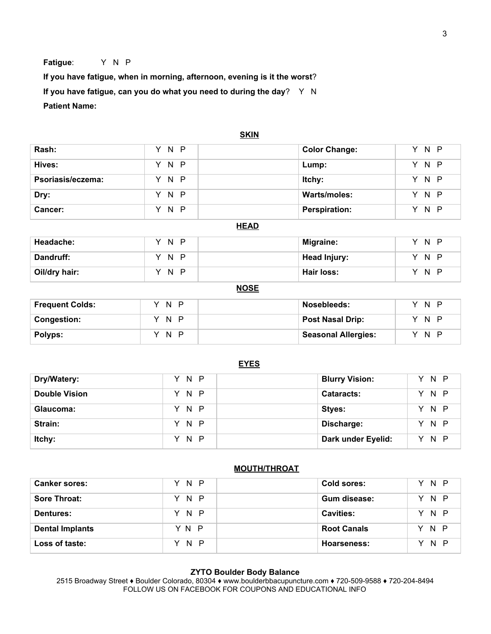**Fatigue**: Y N P

**If you have fatigue, when in morning, afternoon, evening is it the worst**? **If you have fatigue, can you do what you need to during the day**? Y N **Patient Name:**

|                        |                                    | <b>SKIN</b>                |                      |  |  |  |
|------------------------|------------------------------------|----------------------------|----------------------|--|--|--|
| Rash:                  | Y.<br>$\mathsf{N}$<br>$\mathsf{P}$ | <b>Color Change:</b>       | Y N P                |  |  |  |
| Hives:                 | $\mathsf{N}$<br>$\mathsf{P}$<br>Y  | Lump:                      | N <sub>P</sub><br>Y. |  |  |  |
| Psoriasis/eczema:      | Y N P                              | Itchy:                     | Y N P                |  |  |  |
| Dry:                   | P<br>Y.<br>N                       | Warts/moles:               | Y N P                |  |  |  |
| Cancer:                | Y N<br>$\mathsf{P}$                | <b>Perspiration:</b>       | Y N P                |  |  |  |
|                        | <b>HEAD</b>                        |                            |                      |  |  |  |
| Headache:              | $\mathsf{P}$<br>Y<br>N             | <b>Migraine:</b>           | Y.<br>N P            |  |  |  |
| Dandruff:              | N<br>$\mathsf{P}$<br>Y.            | <b>Head Injury:</b>        | Y N P                |  |  |  |
| Oil/dry hair:          | N<br>Y.<br>$\mathsf{P}$            | Hair loss:                 | Y N P                |  |  |  |
| <b>NOSE</b>            |                                    |                            |                      |  |  |  |
| <b>Frequent Colds:</b> | N <sub>P</sub><br>Y                | Nosebleeds:                | Y N P                |  |  |  |
| <b>Congestion:</b>     | N <sub>P</sub><br>Y                | <b>Post Nasal Drip:</b>    | Y.<br>N <sub>P</sub> |  |  |  |
| Polyps:                | Y N P                              | <b>Seasonal Allergies:</b> | P<br>Y.<br>N         |  |  |  |

|                      | <b>EYES</b> |                       |       |
|----------------------|-------------|-----------------------|-------|
| Dry/Watery:          | Y N P       | <b>Blurry Vision:</b> | Y N P |
| <b>Double Vision</b> | Y N P       | <b>Cataracts:</b>     | Y N P |
| Glaucoma:            | Y N P       | Styes:                | Y N P |
| Strain:              | Y N P       | Discharge:            | Y N P |
| Itchy:               | Y N P       | Dark under Eyelid:    | N P   |

# **MOUTH/THROAT**

| <b>Canker sores:</b>   | Y N P | Cold sores:        | Y N P |
|------------------------|-------|--------------------|-------|
| <b>Sore Throat:</b>    | Y N P | Gum disease:       | Y N P |
| <b>Dentures:</b>       | Y N P | <b>Cavities:</b>   | Y N P |
| <b>Dental Implants</b> | YN P  | <b>Root Canals</b> | Y N P |
| Loss of taste:         | Y N P | Hoarseness:        | Y N P |

# **ZYTO Boulder Body Balance**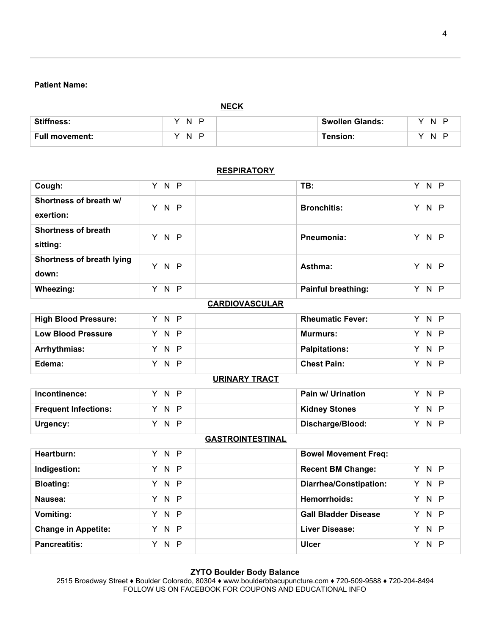# **Patient Name:**

|                       | <b>NECK</b>    |                        |           |
|-----------------------|----------------|------------------------|-----------|
| <b>Stiffness:</b>     | N P<br>v       | <b>Swollen Glands:</b> | N P       |
| <b>Full movement:</b> | N.<br>- P<br>v | Tension:               | N.<br>- 0 |

| Cough:                                 | Y N P                    | TB:                           | Y N P         |
|----------------------------------------|--------------------------|-------------------------------|---------------|
| Shortness of breath w/<br>exertion:    | Y N P                    | <b>Bronchitis:</b>            | Y N P         |
| <b>Shortness of breath</b><br>sitting: | Y N P                    | Pneumonia:                    | Y N P         |
| Shortness of breath lying<br>down:     | Y N P                    | Asthma:                       | Y N P         |
| Wheezing:                              | Y N P                    | <b>Painful breathing:</b>     | Y N P         |
|                                        |                          | <b>CARDIOVASCULAR</b>         |               |
| <b>High Blood Pressure:</b>            | Y N P                    | <b>Rheumatic Fever:</b>       | Y N P         |
| <b>Low Blood Pressure</b>              | $\overline{N}$<br>P<br>Y | <b>Murmurs:</b>               | $N$ $P$<br>Y. |
| Arrhythmias:                           | N.<br>Y.<br>$\mathsf{P}$ | <b>Palpitations:</b>          | Y N P         |
| Edema:                                 | Y N P                    | <b>Chest Pain:</b>            | Y N P         |
|                                        |                          | <b>URINARY TRACT</b>          |               |
| Incontinence:                          | N P<br>Y.                | Pain w/ Urination             | Y N P         |
| <b>Frequent Infections:</b>            | N<br>Y.<br>$\mathsf{P}$  | <b>Kidney Stones</b>          | Y N P         |
| Urgency:                               | Y N P                    | Discharge/Blood:              | Y N P         |
|                                        |                          | <b>GASTROINTESTINAL</b>       |               |
| Heartburn:                             | Y N P                    | <b>Bowel Movement Freq:</b>   |               |
| Indigestion:                           | N P<br>Y                 | <b>Recent BM Change:</b>      | Y N P         |
| <b>Bloating:</b>                       | Y N P                    | <b>Diarrhea/Constipation:</b> | Y N P         |
| Nausea:                                | N P<br>Y.                | <b>Hemorrhoids:</b>           | Y N P         |
| <b>Vomiting:</b>                       | Y N P                    | <b>Gall Bladder Disease</b>   | Y N P         |
| <b>Change in Appetite:</b>             | Y N P                    | <b>Liver Disease:</b>         | Y N P         |
| <b>Pancreatitis:</b>                   | Y N P                    | <b>Ulcer</b>                  | Y N P         |

## **RESPIRATORY**

### **ZYTO Boulder Body Balance**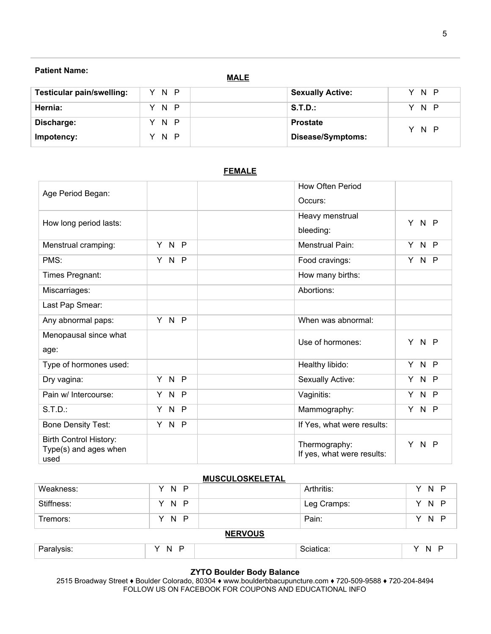# **Patient Name:**

**MALE**

| <b>Testicular pain/swelling:</b> | Y N P | <b>Sexually Active:</b> | N P       |
|----------------------------------|-------|-------------------------|-----------|
| Hernia:                          | Y N P | S.T.D.:                 | N P<br>Y. |
| Discharge:                       | Y N P | <b>Prostate</b>         | N P       |
| Impotency:                       | Y N P | Disease/Symptoms:       |           |

| Age Period Began:                                      |                          | <b>How Often Period</b>    |                      |
|--------------------------------------------------------|--------------------------|----------------------------|----------------------|
|                                                        |                          | Occurs:                    |                      |
| How long period lasts:                                 |                          | Heavy menstrual            | Y N P                |
|                                                        |                          | bleeding:                  |                      |
| Menstrual cramping:                                    | Y N<br>$\mathsf{P}$      | Menstrual Pain:            | N <sub>P</sub><br>Y. |
| PMS:                                                   | Y N<br>-P                | Food cravings:             | N P<br>Y             |
| Times Pregnant:                                        |                          | How many births:           |                      |
| Miscarriages:                                          |                          | Abortions:                 |                      |
| Last Pap Smear:                                        |                          |                            |                      |
| Any abnormal paps:                                     | Y N P                    | When was abnormal:         |                      |
| Menopausal since what                                  |                          | Use of hormones:           | Y.<br>N P            |
| age:                                                   |                          |                            |                      |
| Type of hormones used:                                 |                          | Healthy libido:            | $N$ $P$<br>Y         |
| Dry vagina:                                            | Y N P                    | Sexually Active:           | N P<br>Y.            |
| Pain w/ Intercourse:                                   | $\mathsf{N}$<br>Y.<br>-P | Vaginitis:                 | N P<br>Y.            |
| $S.T.D.$ :                                             | Y N<br>$\mathsf{P}$      | Mammography:               | N P<br>Y.            |
| <b>Bone Density Test:</b>                              | Y N P                    | If Yes, what were results: |                      |
| <b>Birth Control History:</b><br>Type(s) and ages when |                          | Thermography:              | $N$ $P$<br>Y.        |
| used                                                   |                          | If yes, what were results: |                      |

# **FEMALE**

# **MUSCULOSKELETAL**

| Weakness:      | N P | Arthritis:  | Y N P |  |  |
|----------------|-----|-------------|-------|--|--|
| Stiffness:     | YNP | Leg Cramps: | Y N P |  |  |
| Tremors:       | N P | Pain:       | Y N P |  |  |
| <b>NERVOUS</b> |     |             |       |  |  |
| Paralysis:     | N P | Sciatica:   | Y N P |  |  |

### **ZYTO Boulder Body Balance**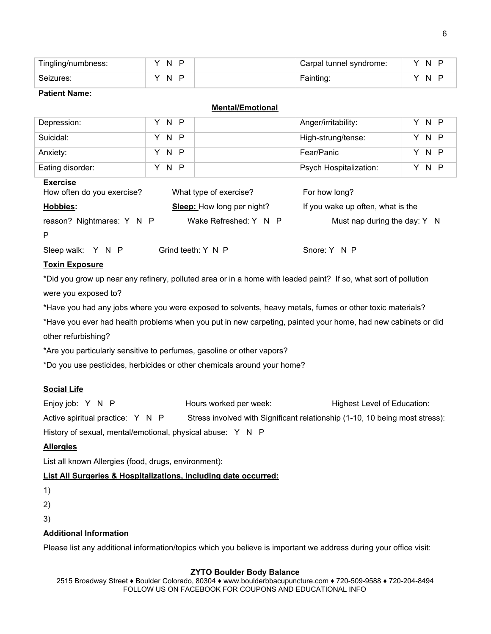| Tingling/numbness: | D<br>N. | Carpal tunnel syndrome: | N |
|--------------------|---------|-------------------------|---|
| Seizures:          | D<br>N  | Fainting:               | N |

## **Patient Name:**

# **Mental/Emotional**

| Depression:                                   | Y N P                      | N P<br>Anger/irritability:<br>Y.   |
|-----------------------------------------------|----------------------------|------------------------------------|
| Suicidal:                                     | N P<br>Y.                  | High-strung/tense:<br>N P<br>Y     |
| Anxiety:                                      | N P<br>Y.                  | Fear/Panic<br>N P<br>Y             |
| Eating disorder:                              | N P<br>Y.                  | N P<br>Psych Hospitalization:<br>Y |
| <b>Exercise</b><br>How often do you exercise? | What type of exercise?     | For how long?                      |
| <b>Hobbies:</b>                               | Sleep: How long per night? | If you wake up often, what is the  |
| reason? Nightmares: Y N P                     | Wake Refreshed: Y N P      | Must nap during the day: Y N       |
| P                                             |                            |                                    |
| Sleep walk:<br>Y N P                          | Grind teeth: Y N P         | Snore: Y N P                       |

# **Toxin Exposure**

\*Did you grow up near any refinery, polluted area or in a home with leaded paint? If so, what sort of pollution were you exposed to?

\*Have you had any jobs where you were exposed to solvents, heavy metals, fumes or other toxic materials?

\*Have you ever had health problems when you put in new carpeting, painted your home, had new cabinets or did other refurbishing?

\*Are you particularly sensitive to perfumes, gasoline or other vapors?

\*Do you use pesticides, herbicides or other chemicals around your home?

# **Social Life**

Enjoy job: Y N P **Hours worked per week:** Highest Level of Education: Active spiritual practice: Y N P Stress involved with Significant relationship (1-10, 10 being most stress): History of sexual, mental/emotional, physical abuse: Y N P

# **Allergies**

List all known Allergies (food, drugs, environment):

# **List All Surgeries & Hospitalizations, including date occurred:**

1)

2)

3)

# **Additional Information**

Please list any additional information/topics which you believe is important we address during your office visit:

# **ZYTO Boulder Body Balance**